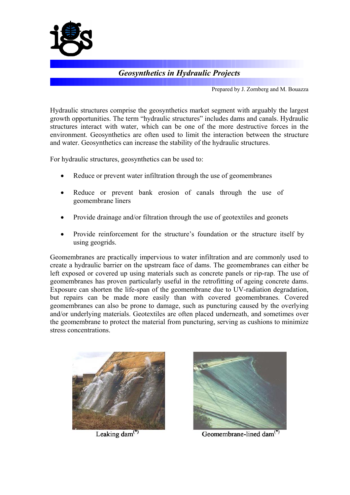

## *Geosynthetics in Hydraulic Projects*

Prepared by J. Zornberg and M. Bouazza

Hydraulic structures comprise the geosynthetics market segment with arguably the largest growth opportunities. The term "hydraulic structures" includes dams and canals. Hydraulic structures interact with water, which can be one of the more destructive forces in the environment. Geosynthetics are often used to limit the interaction between the structure and water. Geosynthetics can increase the stability of the hydraulic structures.

For hydraulic structures, geosynthetics can be used to:

- Reduce or prevent water infiltration through the use of geomembranes
- Reduce or prevent bank erosion of canals through the use of geomembrane liners
- $\bullet$ Provide drainage and/or filtration through the use of geotextiles and geonets
- Provide reinforcement for the structure's foundation or the structure itself by using geogrids.

Geomembranes are practically impervious to water infiltration and are commonly used to create a hydraulic barrier on the upstream face of dams. The geomembranes can either be left exposed or covered up using materials such as concrete panels or rip-rap. The use of geomembranes has proven particularly useful in the retrofitting of ageing concrete dams. Exposure can shorten the life-span of the geomembrane due to UV-radiation degradation, but repairs can be made more easily than with covered geomembranes. Covered geomembranes can also be prone to damage, such as puncturing caused by the overlying and/or underlying materials. Geotextiles are often placed underneath, and sometimes over the geomembrane to protect the material from puncturing, serving as cushions to minimize stress concentrations.



Leaking dam<sup>(\*)</sup>



Geomembrane-lined dam<sup>(\*)</sup>